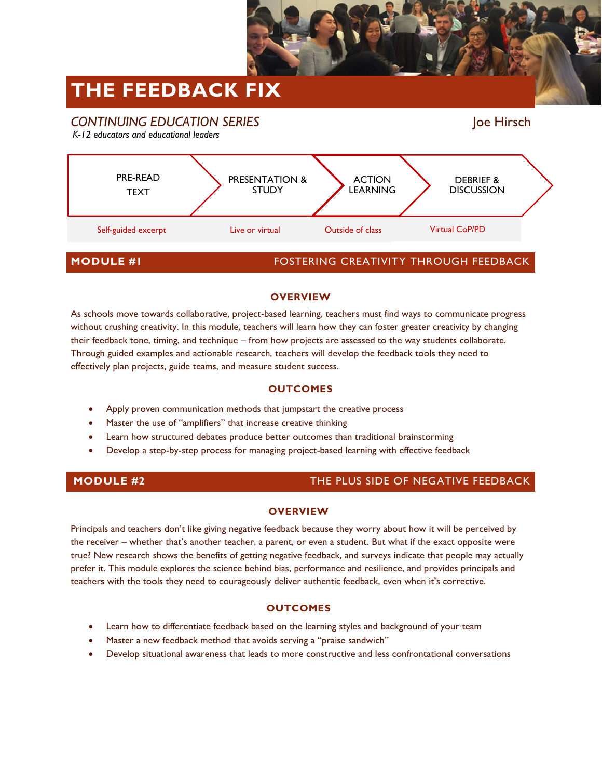

# **THE FEEDBACK FIX**



## **OVERVIEW**

As schools move towards collaborative, project-based learning, teachers must find ways to communicate progress without crushing creativity. In this module, teachers will learn how they can foster greater creativity by changing their feedback tone, timing, and technique – from how projects are assessed to the way students collaborate. Through guided examples and actionable research, teachers will develop the feedback tools they need to effectively plan projects, guide teams, and measure student success.

# **OUTCOMES**

- Apply proven communication methods that jumpstart the creative process
- Master the use of "amplifiers" that increase creative thinking
- Learn how structured debates produce better outcomes than traditional brainstorming
- Develop a step-by-step process for managing project-based learning with effective feedback

# **MODULE #2** THE PLUS SIDE OF NEGATIVE FEEDBACK

### **OVERVIEW**

Principals and teachers don't like giving negative feedback because they worry about how it will be perceived by the receiver – whether that's another teacher, a parent, or even a student. But what if the exact opposite were true? New research shows the benefits of getting negative feedback, and surveys indicate that people may actually prefer it. This module explores the science behind bias, performance and resilience, and provides principals and teachers with the tools they need to courageously deliver authentic feedback, even when it's corrective.

# **OUTCOMES**

- Learn how to differentiate feedback based on the learning styles and background of your team
- Master a new feedback method that avoids serving a "praise sandwich"
- Develop situational awareness that leads to more constructive and less confrontational conversations